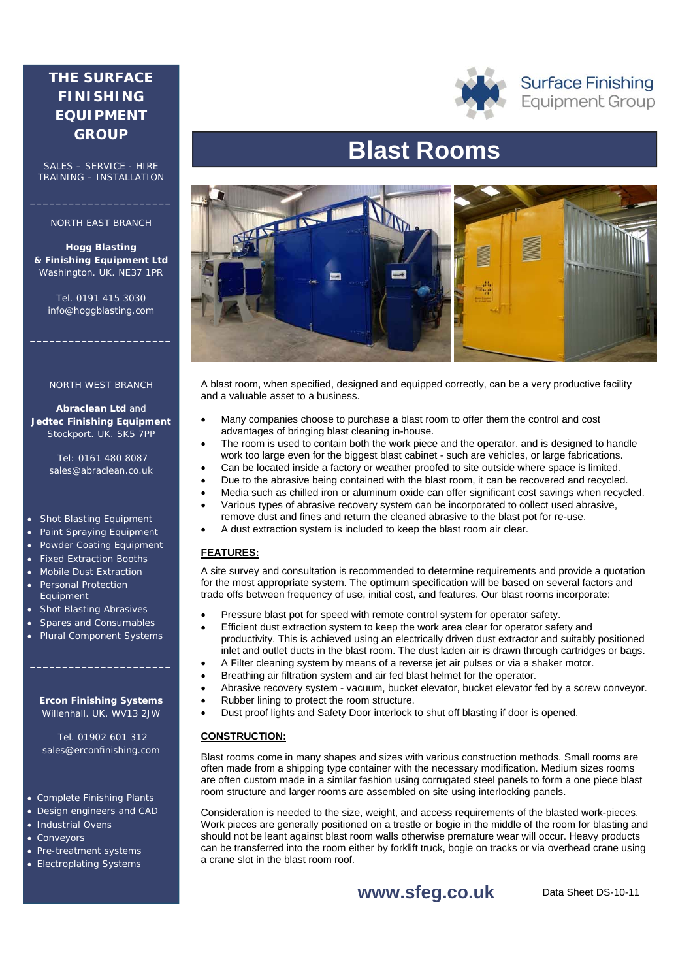## **THE SURFACE FINISHING EQUIPMENT GROUP**

SALES – SERVICE - HIRE TRAINING – INSTALLATION

### NORTH EAST BRANCH

**Hogg Blasting & Finishing Equipment Ltd** Washington. UK. NE37 1PR

Tel. 0191 415 3030 info@hoggblasting.com

### NORTH WEST BRANCH

**Abraclean Ltd** and **Jedtec Finishing Equipment** Stockport. UK. SK5 7PP

> Tel: 0161 480 8087 sales@abraclean.co.uk

### Shot Blasting Equipment

- Paint Spraying Equipment
- Powder Coating Equipment
- Fixed Extraction Booths
- Mobile Dust Extraction Personal Protection Equipment
- Shot Blasting Abrasives
- Spares and Consumables
- Plural Component Systems

### **Ercon Finishing Systems** Willenhall. UK. WV13 2JW

**\_\_\_\_\_\_\_\_\_\_\_\_\_\_\_\_\_\_\_\_\_\_** 

 Tel. 01902 601 312 sales@erconfinishing.com

- Complete Finishing Plants
- Design engineers and CAD
- Industrial Ovens
- **Conveyors**
- Pre-treatment systems
- Electroplating Systems



**Surface Finishing Equipment Group** 

# **Blast Rooms**



A blast room, when specified, designed and equipped correctly, can be a very productive facility and a valuable asset to a business.

- Many companies choose to purchase a blast room to offer them the control and cost advantages of bringing blast cleaning in-house.
- The room is used to contain both the work piece and the operator, and is designed to handle work too large even for the biggest blast cabinet - such are vehicles, or large fabrications.
- Can be located inside a factory or weather proofed to site outside where space is limited.
- Due to the abrasive being contained with the blast room, it can be recovered and recycled.
- Media such as chilled iron or aluminum oxide can offer significant cost savings when recycled. Various types of abrasive recovery system can be incorporated to collect used abrasive,
- remove dust and fines and return the cleaned abrasive to the blast pot for re-use. A dust extraction system is included to keep the blast room air clear.

### **FEATURES:**

A site survey and consultation is recommended to determine requirements and provide a quotation for the most appropriate system. The optimum specification will be based on several factors and trade offs between frequency of use, initial cost, and features. Our blast rooms incorporate:

- Pressure blast pot for speed with remote control system for operator safety.
- Efficient dust extraction system to keep the work area clear for operator safety and productivity. This is achieved using an electrically driven dust extractor and suitably positioned inlet and outlet ducts in the blast room. The dust laden air is drawn through cartridges or bags.
- A Filter cleaning system by means of a reverse jet air pulses or via a shaker motor.
- Breathing air filtration system and air fed blast helmet for the operator.
- Abrasive recovery system vacuum, bucket elevator, bucket elevator fed by a screw conveyor.
- Rubber lining to protect the room structure.
- Dust proof lights and Safety Door interlock to shut off blasting if door is opened.

### **CONSTRUCTION:**

Blast rooms come in many shapes and sizes with various construction methods. Small rooms are often made from a shipping type container with the necessary modification. Medium sizes rooms are often custom made in a similar fashion using corrugated steel panels to form a one piece blast room structure and larger rooms are assembled on site using interlocking panels.

Consideration is needed to the size, weight, and access requirements of the blasted work-pieces. Work pieces are generally positioned on a trestle or bogie in the middle of the room for blasting and should not be leant against blast room walls otherwise premature wear will occur. Heavy products can be transferred into the room either by forklift truck, bogie on tracks or via overhead crane using a crane slot in the blast room roof.

**www.sfeg.co.uk**